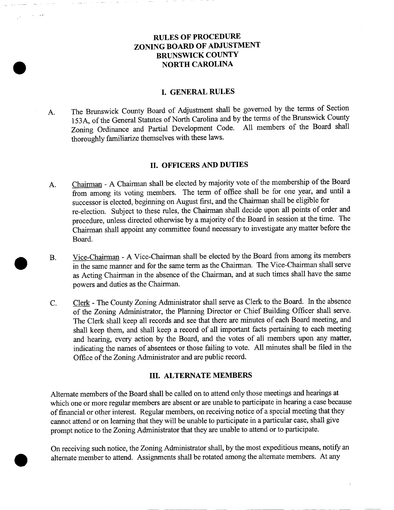# RULES OF PROCEDURE ZONING BOARD OF ADJUSTMENT **BRUNSWICK COUNTY** NORTH CAROLINA

## **I. GENERAL RULES**

A The Brunswick County Board of Adjustment shall be governed by the terms of Section 153A, of the General Statutes of North Carolina and by the terms of the Brunswick County Zoning Ordinance and Partial Development Code. All members of the Board shall thoroughly familiarize themselves with these laws.

#### II OFFICERS AND DUTIES

- II. OFFICERS AND DUTIES<br>
A. Chairman A Chairman shall be elected by majority vote of the membership of the Board<br>
from among its voting members. The term of office shall be for one year, and until a<br>
disconnective about **Chairman** - A Chairman shall be elected by majority vote of the membership of the from among its voting members. The term of office shall be for one year, and successor is elected, beginning on August first, and the Chair successor is elected, beginning on August first, and the Chairman shall be eligible for<br>re-election. Subject to these rules, the Chairman shall decide upon all points of order and procedure, unless directed otherwise by a majority of the Board in session at the time. The Chairman shall appoint any committee found necessary to investigate any matter before the Board Chairman - A Chairman shall be elected by majority vote of the membership of the Board<br>from among its voting members. The term of office shall be for one year, and until a<br>successor is elected, beginning on August first, a
- Vice-Chairman A Vice-Chairman shall be elected by the Board from among its members in the same manner and for the same term as the Chairman. The Vice-Chairman shall serve as Acting Chairman in the absence of the Chairman, and at such times shall have the same powers and duties as the Chairman.
- powers and duties as the Chairman.<br>
C. Clerk The County Zoning Administrator shall serve as Clerk to the Board. In the absence<br>
Collaboration Administrator the Planning Director or Chief Building Officer shall serve Clerk - The County Zoning Administrator shall serve as Clerk to the Board. In the absence<br>of the Zoning Administrator, the Planning Director or Chief Building Officer shall serve<br>The Clerk shall keep all records and see th of the Zoning Administrator, the Planning Director or Chief Building Officer shall serve.<br>The Clerk shall keep all records and see that there are minutes of each Board meeting, and of the Zoning Administrator, the Planning Director or Chief Building Officer shall serve.<br>The Clerk shall keep all records and see that there are minutes of each Board meeting, and shall keep them, and shall keep a record shall keep them, and shall keep a record of all important facts pertaining to each meeting<br>and hearing, every action by the Board, and the votes of all members upon any matter,<br>indicating the names of absentees or those fa indicating the names of absentees or those failing to vote<br>Office of the Zoning Administrator and are public record.

#### **III. ALTERNATE MEMBERS**

Alternate members of the Board shall be called on to attend only those meetings and hearings at **III. ALTERNATE MEMBERS**<br>Alternate members of the Board shall be called on to attend only those meetings and hearings at<br>which one or more regular members are absent or are unable to participate in hearing a case because<br>o Alternate members of the Board shall be called on to attend only those meetings and hearings at which one or more regular members are absent or are unable to participate in hearing a case becape of financial or other inter

-<br>On receiving such notice, the Zoning Administrator shall, by the most expeditious means, notify an<br>alternate member to attend. Assignments shall be rotated among the alternate members. At any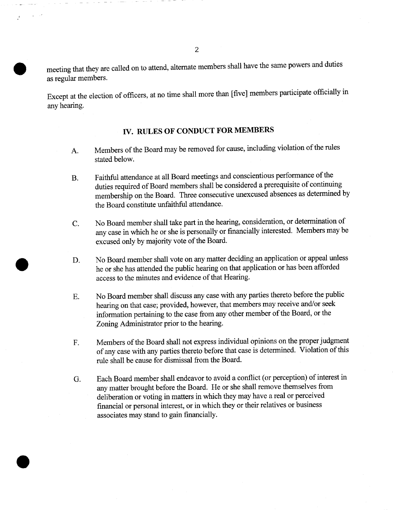meeting that they are called on to attend, alternate members shall have the same powers and duties as regular members

Except at the election of officers, at no time shall more than [five] members participate officially in any hearing

## IV. RULES OF CONDUCT FOR MEMBERS

- A. Members of the Board may be removed for cause, including violation of the rules stated below
- B. Faithful attendance at all Board meetings and conscientious performance of the duties required of Board members shall be considered a prerequisite of continuing membership on the Board. Three consecutive unexcused absences as determined by the Board constitute unfaithful attendance
- C. No Board member shall take part in the hearing, consideration, or determination of any case in which he or she is personally or financially interested. Members may be excused only by majority vote of the Board.
- D. No Board member shall vote on any matter deciding an application or appeal unless he or she has attended the public hearing on that application or has been afforded access to the minutes and evidence of that Hearing.
- E. No Board member shall discuss any case with any parties thereto before the public hearing on that case; provided, however, that members may receive and/or seek information pertaining to the case from any other member of the Board, or the Zoning Administrator prior to the hearing
- F. Members of the Board shall not express individual opinions on the proper judgment of any case with any parties thereto before that case is determined. Violation of this rule shall be cause for dismissal from the Board
- G. Each Board member shall endeavor to avoid a conflict (or perception) of interest in any matter brought before the Board. He or she shall remove themselves from deliberation or voting in matters in which they may have a real or perceived financial or personal interest, or in which they or their relatives or business associates may stand to gain financially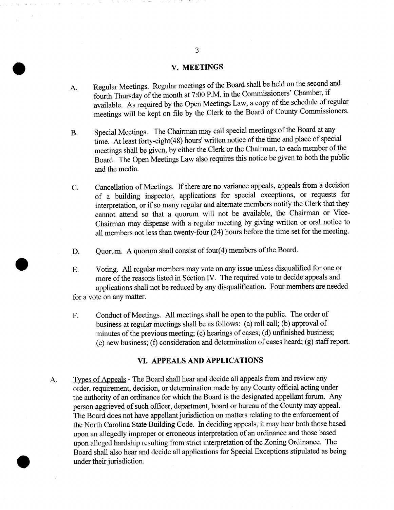### **V. MEETINGS**

- A. Regular Meetings. Regular meetings of the Board shall be held on the second and fourth Thursday of the month at 7:00 P.M. in the Commissioners' Chamber, if available. As required by the Open Meetings Law, a copy of the schedule of regular meetings will be kept on file by the Clerk to the Board of County Commissioners.
- B. Special Meetings. The Chairman may call special meetings of the Board at any Special Meetings. The Chairman may call special meetings of the Board at any<br>time. At least forty-eight (48) hours' written notice of the time and place of special<br>meetings shall be given, by either the Clerk or the Chairm meetings shall be given, by either the Clerk or the Chairman, to each member of the<br>Board. The Open Meetings Law also requires this notice be given to both the public<br>and the media.<br>C. Cancellation of Meetings. If there ar
- Cancellation of Meetings. If there are no variance appeals, appeals from a decision<br>of a building inspector, applications for special exceptions, or requests for<br>interpretation, or if so many regular and alternate members interpretation, or if so many regular and alternate members notify the Clerk that they cannot attend so that a quorum will not be available, the Chairman or Vice-Chairman may dispense with a regular meeting by giving writt all members not less than twenty-four  $(24)$  hours before the time set for the meeting.
- D. Ouorum. A quorum shall consist of four $(4)$  members of the Board.
- E. Voting. All regular members may vote on any issue unless disqualified for one or<br>more of the reasons listed in Section IV. The required vote to decide appeals and<br>applications shall not be reduced by any disqualificatio applicatio<br>for a vote on any matter
- F. Conduct of Meetings. All meetings shall be open to the public. The order of business at regular meetings shall be as follows: (a) roll call; (b) approval of applications shall not be reduced by any disqualification. Four members are needed<br>te on any matter.<br>Conduct of Meetings. All meetings shall be open to the public. The order of<br>business at regular meetings shall be as foll  $(e)$  new business; (f) consideration and determination of cases heard; (g) staff report.

### VI. APPEALS AND APPLICATIONS

A. Types of Appeals - The Board shall hear and decide all appeals from and review any order, requirement, decision, or determination made by any County official acting under Types of Appeals - The Board shall hear and decide all appeals from and review any order, requirement, decision, or determination made by any County official acting under the authority of an ordinance for which the Board i Types of Appeals - The Board shall hear and decide all appeals from and feview any order, requirement, decision, or determination made by any County official acting under the authority of an ordinance for which the Board i the authority of an ordinance for which the Board is the designated appellant forum. Any person aggrieved of such officer, department, board or bureau of the County may appeal. The Board does not have appellant jurisdictio and analysis of such officer, department, board or bureau of the County may appear. The Board does not have appellant jurisdiction on matters relating to the enforcement of the North Carolina State Building Code. In decidi The Board does not have appellant jurisdiction on matters relating to the enforcement of<br>the North Carolina State Building Code. In deciding appeals, it may hear both those bas<br>upon an allegedly improper or erroneous inter upon an allegedly improper or erroneous interpretation of an ordinance and those based<br>upon alleged hardship resulting from strict interpretation of the Zoning Ordinance. The<br>Board shall also hear and decide all applicatio under their jurisdiction.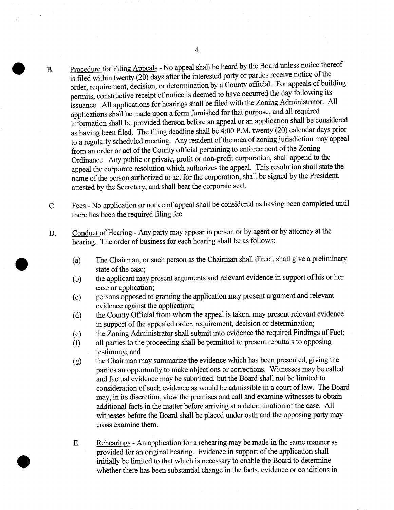- Procedure for Filing Appeals No appeal shall be heard by the Board unless notice thereof is filed within twenty  $(20)$  days after the interested party or parties receive notice of the Procedure for Filing Appeals - No appeal shall be heard by<br>is filed within twenty (20) days after the interested party or j<br>order, requirement, decision, or determination by a County<br>permits, constructive receipt of notice the Board unless notice thereof<br>parties receive notice of the<br>official. For appeals of building<br>curred the day following its is filed within twenty (20) days after the interested party or parties receive notice of the order, requirement, decision, or determination by a County official. For appeals of built permits, constructive receipt of notic permits, constructive receipt of notice is deemed to have occurred the day following its issuance. All applications for hearings shall be filed with the Zoning Administrator. All applications shall be made upon a form furnished for that purpose, and all required<br>information shall be provided thereon before an appeal or an application shall be considered<br>as having been filed. The filing deadline sha required issuance. All applications for hearings shall be filed with the Zoning Administrator. All<br>applications shall be made upon a form furnished for that purpose, and all required<br>information shall be provided thereon applications shall be made upon a form furnished for that purpose, and an required<br>information shall be provided thereon before an appeal or an application shall be considered<br>as having been filed. The filing deadline shal to a regularly scheduled meeting. Any resident of the area of zoning jurisdiction may appeal<br>from an order or act of the County official pertaining to enforcement of the Zoning Ordinance. Any public or private, profit or non-profit corporation, shall append to the appeal the corporate resolution which authorizes the appeal. This resolution shall state the name of the person authorized to act for the corporation, shall be signed by the President, attested by the Secretary, and shall bear the corporate seal.  $B<sub>1</sub>$
- The State of the Person manufacture of a the corporate seal.<br>C. Fees No application or notice of appeal shall be considered as having been completed until<br>there has been the required filing fee. there has been the required filing fee. Fees - No application or notice of appeal shall be considered as having been completed<br>there has been the required filing fee.<br>D. Conduct of Hearing - Any party may appear in person or by agent or by attorney at the<br>hearin
- Conduct of Hearing Any party may appear in person or by agent of hearing. The order of business for each hearing shall be as follows:
- $(a)$  $\frac{1}{10}$  of Hearing - Any party may appear in person or by agent or by attorney at the The order of business for each hearing shall be as follows:<br>The Chairman, or such person as the Chairman shall direct, shall give a The Chairman, or such person as the Chairman shall direct, shall give a preliminary state of the case;
	- $(b)$ the applicant may present arguments and relevant evidence in support of his or her case or application;
	- $(c)$ persons opposed to granting the application may present argument and relevant evidence against the application;
	- $(d)$ the County Official from whom the appeal is taken, may present relevant evidence in support of the appealed order, requirement, decision or determination;
	- $(e)$ the Zoning Administrator shall submit into evidence the required Findings of Fact;
	- $(f)$ in support of the appealed order, requirement, decision or determination;<br>the Zoning Administrator shall submit into evidence the required Findings of I<br>all parties to the proceeding shall be permitted to present rebuttals the Zoning Adr<br>all parties to the<br>testimony; and<br>the Chairman r
	- $(g)$ testimony; and<br>the Chairman may summarize the evidence which has been presented, giving the<br>parties an opportunity to make objections or corrections. Witnesses may be called the parties and proceeding shall be permised by permised by the testimony; and the Chairman may summarize the evidence which has been presented, giving the parties an opportunity to make objections or corrections. Witnesse parties an opportunity to make objections or corrections. Witnesses may be called<br>and factual evidence may be submitted, but the Board shall not be limited to<br>consideration of such evidence as would be admissible in a cour parties an opportunity to make objections or corrections. Witnesses may be called and factual evidence may be submitted, but the Board shall not be limited to consideration of such evidence as would be admissible in a cour additional facts in the matter before arriving at a determination of the case. All witnesses before the Board shall be placed under oath and the opposing party may cross examine them.
	- with the season of the board shall be placed under bail and the opposing party matrices cross examine them.<br>E. Rehearings An application for a rehearing may be made in the same manner as provided for an original hearing. Rehearings - An application for a rehearing may be made in the same manner<br>provided for an original hearing. Evidence in support of the application shall<br>initially had limited to thetarbich is necessary to apple the Board Rehearings - An application for a rehearing may be made in the same manner<br>provided for an original hearing. Evidence in support of the application shall<br>initially be limited to that which is necessary to enable the Board Board to the application shall<br>provided for an original hearing. Evidence in support of the application shall<br>initially be limited to that which is necessary to enable the Board to determine<br>whether there has been substant

e